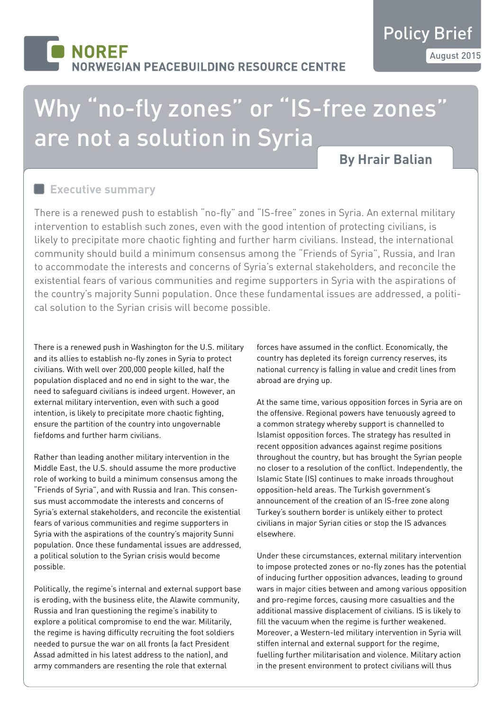# **NORFF** RWEGIAN PEACEBUILDING RESOURCE CENTRE

# Why "no-fly zones" or "IS-free zones" are not a solution in Syria

## **By Hrair Balian**

#### **Executive summary**

There is a renewed push to establish "no-fly" and "IS-free" zones in Syria. An external military intervention to establish such zones, even with the good intention of protecting civilians, is likely to precipitate more chaotic fighting and further harm civilians. Instead, the international community should build a minimum consensus among the "Friends of Syria", Russia, and Iran to accommodate the interests and concerns of Syria's external stakeholders, and reconcile the existential fears of various communities and regime supporters in Syria with the aspirations of the country's majority Sunni population. Once these fundamental issues are addressed, a political solution to the Syrian crisis will become possible.

There is a renewed push in Washington for the U.S. military and its allies to establish no-fly zones in Syria to protect civilians. With well over 200,000 people killed, half the population displaced and no end in sight to the war, the need to safeguard civilians is indeed urgent. However, an external military intervention, even with such a good intention, is likely to precipitate more chaotic fighting, ensure the partition of the country into ungovernable fiefdoms and further harm civilians.

Rather than leading another military intervention in the Middle East, the U.S. should assume the more productive role of working to build a minimum consensus among the "Friends of Syria", and with Russia and Iran. This consensus must accommodate the interests and concerns of Syria's external stakeholders, and reconcile the existential fears of various communities and regime supporters in Syria with the aspirations of the country's majority Sunni population. Once these fundamental issues are addressed, a political solution to the Syrian crisis would become possible.

Politically, the regime's internal and external support base is eroding, with the business elite, the Alawite community, Russia and Iran questioning the regime's inability to explore a political compromise to end the war. Militarily, the regime is having difficulty recruiting the foot soldiers needed to pursue the war on all fronts (a fact President Assad admitted in his latest address to the nation), and army commanders are resenting the role that external

forces have assumed in the conflict. Economically, the country has depleted its foreign currency reserves, its national currency is falling in value and credit lines from abroad are drying up.

At the same time, various opposition forces in Syria are on the offensive. Regional powers have tenuously agreed to a common strategy whereby support is channelled to Islamist opposition forces. The strategy has resulted in recent opposition advances against regime positions throughout the country, but has brought the Syrian people no closer to a resolution of the conflict. Independently, the Islamic State (IS) continues to make inroads throughout opposition-held areas. The Turkish government's announcement of the creation of an IS-free zone along Turkey's southern border is unlikely either to protect civilians in major Syrian cities or stop the IS advances elsewhere.

Under these circumstances, external military intervention to impose protected zones or no-fly zones has the potential of inducing further opposition advances, leading to ground wars in major cities between and among various opposition and pro-regime forces, causing more casualties and the additional massive displacement of civilians. IS is likely to fill the vacuum when the regime is further weakened. Moreover, a Western-led military intervention in Syria will stiffen internal and external support for the regime, fuelling further militarisation and violence. Military action in the present environment to protect civilians will thus